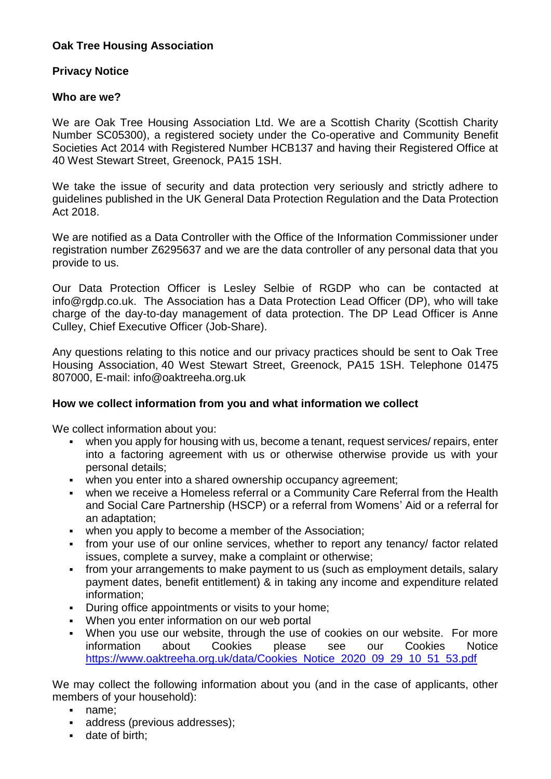# **Oak Tree Housing Association**

## **Privacy Notice**

### **Who are we?**

We are Oak Tree Housing Association Ltd. We are a Scottish Charity (Scottish Charity Number SC05300), a registered society under the Co-operative and Community Benefit Societies Act 2014 with Registered Number HCB137 and having their Registered Office at 40 West Stewart Street, Greenock, PA15 1SH.

We take the issue of security and data protection very seriously and strictly adhere to guidelines published in the UK General Data Protection Regulation and the Data Protection Act 2018.

We are notified as a Data Controller with the Office of the Information Commissioner under registration number Z6295637 and we are the data controller of any personal data that you provide to us.

Our Data Protection Officer is Lesley Selbie of RGDP who can be contacted at info@rgdp.co.uk. The Association has a Data Protection Lead Officer (DP), who will take charge of the day-to-day management of data protection. The DP Lead Officer is Anne Culley, Chief Executive Officer (Job-Share).

Any questions relating to this notice and our privacy practices should be sent to Oak Tree Housing Association, 40 West Stewart Street, Greenock, PA15 1SH. Telephone 01475 807000, E-mail: info@oaktreeha.org.uk

### **How we collect information from you and what information we collect**

We collect information about you:

- when you apply for housing with us, become a tenant, request services/ repairs, enter into a factoring agreement with us or otherwise otherwise provide us with your personal details;
- when you enter into a shared ownership occupancy agreement;
- when we receive a Homeless referral or a Community Care Referral from the Health and Social Care Partnership (HSCP) or a referral from Womens' Aid or a referral for an adaptation;
- when you apply to become a member of the Association;
- from your use of our online services, whether to report any tenancy/ factor related issues, complete a survey, make a complaint or otherwise;
- from your arrangements to make payment to us (such as employment details, salary payment dates, benefit entitlement) & in taking any income and expenditure related information;
- During office appointments or visits to your home;
- When you enter information on our web portal
- When you use our website, through the use of cookies on our website. For more information about Cookies please see our Cookies Notice [https://www.oaktreeha.org.uk/data/Cookies\\_Notice\\_2020\\_09\\_29\\_10\\_51\\_53.pdf](https://www.oaktreeha.org.uk/data/Cookies_Notice_2020_09_29_10_51_53.pdf)

We may collect the following information about you (and in the case of applicants, other members of your household):

- name;
- address (previous addresses);
- **date of birth:**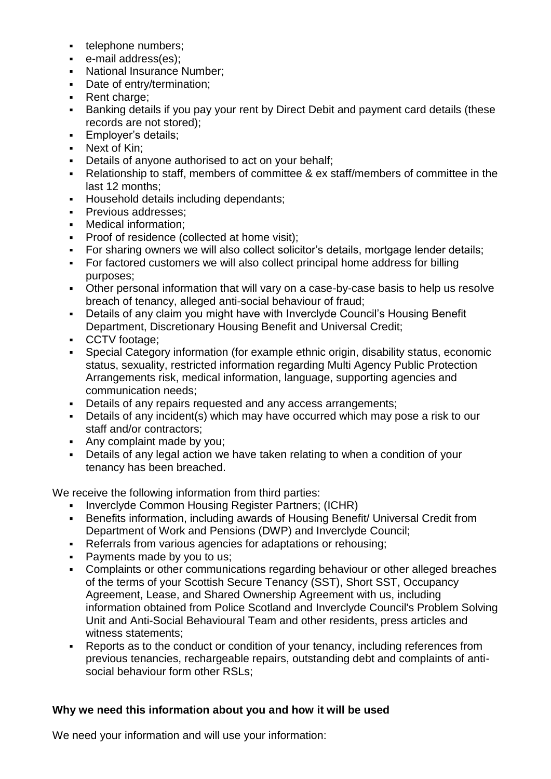- **telephone numbers;**
- e-mail address(es);
- National Insurance Number;
- Date of entry/termination;
- Rent charge:
- Banking details if you pay your rent by Direct Debit and payment card details (these records are not stored);
- **Employer's details;**
- Next of Kin:
- Details of anyone authorised to act on your behalf;
- Relationship to staff, members of committee & ex staff/members of committee in the last 12 months;
- Household details including dependants;
- **Previous addresses:**
- **Nedical information:**
- **Proof of residence (collected at home visit);**
- For sharing owners we will also collect solicitor's details, mortgage lender details;
- For factored customers we will also collect principal home address for billing purposes;
- Other personal information that will vary on a case-by-case basis to help us resolve breach of tenancy, alleged anti-social behaviour of fraud;
- Details of any claim you might have with Inverclyde Council's Housing Benefit Department, Discretionary Housing Benefit and Universal Credit;
- CCTV footage;
- Special Category information (for example ethnic origin, disability status, economic status, sexuality, restricted information regarding Multi Agency Public Protection Arrangements risk, medical information, language, supporting agencies and communication needs;
- Details of any repairs requested and any access arrangements;
- Details of any incident(s) which may have occurred which may pose a risk to our staff and/or contractors;
- Any complaint made by you;
- Details of any legal action we have taken relating to when a condition of your tenancy has been breached.

We receive the following information from third parties:

- Inverclyde Common Housing Register Partners: (ICHR)
- Benefits information, including awards of Housing Benefit/ Universal Credit from Department of Work and Pensions (DWP) and Inverclyde Council;
- Referrals from various agencies for adaptations or rehousing;
- Payments made by you to us;
- Complaints or other communications regarding behaviour or other alleged breaches of the terms of your Scottish Secure Tenancy (SST), Short SST, Occupancy Agreement, Lease, and Shared Ownership Agreement with us, including information obtained from Police Scotland and Inverclyde Council's Problem Solving Unit and Anti-Social Behavioural Team and other residents, press articles and witness statements;
- Reports as to the conduct or condition of your tenancy, including references from previous tenancies, rechargeable repairs, outstanding debt and complaints of antisocial behaviour form other RSLs;

# **Why we need this information about you and how it will be used**

We need your information and will use your information: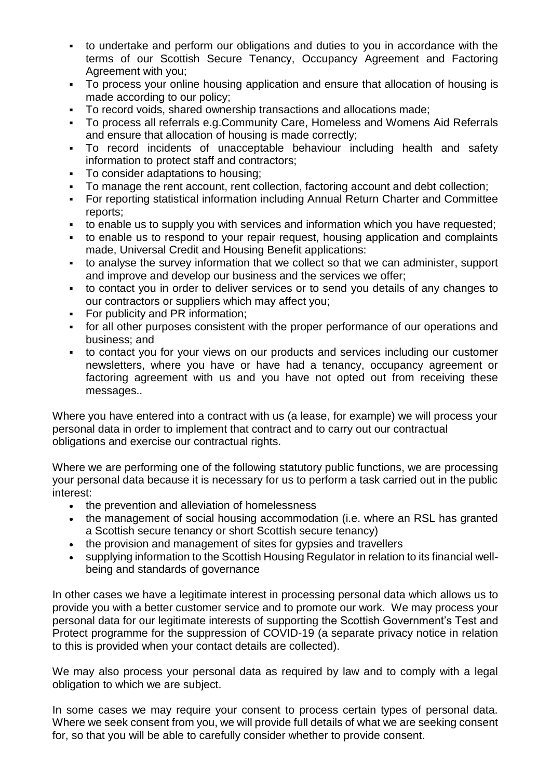- to undertake and perform our obligations and duties to you in accordance with the terms of our Scottish Secure Tenancy, Occupancy Agreement and Factoring Agreement with you;
- To process your online housing application and ensure that allocation of housing is made according to our policy;
- To record voids, shared ownership transactions and allocations made;
- To process all referrals e.g.Community Care, Homeless and Womens Aid Referrals and ensure that allocation of housing is made correctly;
- To record incidents of unacceptable behaviour including health and safety information to protect staff and contractors;
- To consider adaptations to housing;
- To manage the rent account, rent collection, factoring account and debt collection;
- For reporting statistical information including Annual Return Charter and Committee reports;
- to enable us to supply you with services and information which you have requested;
- to enable us to respond to your repair request, housing application and complaints made, Universal Credit and Housing Benefit applications:
- to analyse the survey information that we collect so that we can administer, support and improve and develop our business and the services we offer;
- to contact you in order to deliver services or to send you details of any changes to our contractors or suppliers which may affect you;
- For publicity and PR information;
- for all other purposes consistent with the proper performance of our operations and business; and
- to contact you for your views on our products and services including our customer newsletters, where you have or have had a tenancy, occupancy agreement or factoring agreement with us and you have not opted out from receiving these messages..

Where you have entered into a contract with us (a lease, for example) we will process your personal data in order to implement that contract and to carry out our contractual obligations and exercise our contractual rights.

Where we are performing one of the following statutory public functions, we are processing your personal data because it is necessary for us to perform a task carried out in the public interest:

- the prevention and alleviation of homelessness
- the management of social housing accommodation (i.e. where an RSL has granted a Scottish secure tenancy or short Scottish secure tenancy)
- the provision and management of sites for gypsies and travellers
- supplying information to the Scottish Housing Regulator in relation to its financial wellbeing and standards of governance

In other cases we have a legitimate interest in processing personal data which allows us to provide you with a better customer service and to promote our work. We may process your personal data for our legitimate interests of supporting the Scottish Government's Test and Protect programme for the suppression of COVID-19 (a separate privacy notice in relation to this is provided when your contact details are collected).

We may also process your personal data as required by law and to comply with a legal obligation to which we are subject.

In some cases we may require your consent to process certain types of personal data. Where we seek consent from you, we will provide full details of what we are seeking consent for, so that you will be able to carefully consider whether to provide consent.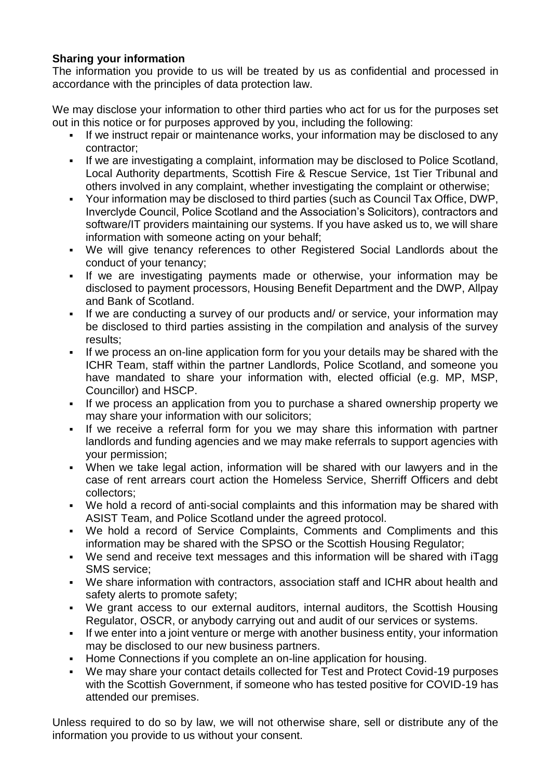# **Sharing your information**

The information you provide to us will be treated by us as confidential and processed in accordance with the principles of data protection law.

We may disclose your information to other third parties who act for us for the purposes set out in this notice or for purposes approved by you, including the following:

- If we instruct repair or maintenance works, your information may be disclosed to any contractor;
- If we are investigating a complaint, information may be disclosed to Police Scotland, Local Authority departments, Scottish Fire & Rescue Service, 1st Tier Tribunal and others involved in any complaint, whether investigating the complaint or otherwise;
- Your information may be disclosed to third parties (such as Council Tax Office, DWP, Inverclyde Council, Police Scotland and the Association's Solicitors), contractors and software/IT providers maintaining our systems. If you have asked us to, we will share information with someone acting on your behalf;
- We will give tenancy references to other Registered Social Landlords about the conduct of your tenancy;
- If we are investigating payments made or otherwise, your information may be disclosed to payment processors, Housing Benefit Department and the DWP, Allpay and Bank of Scotland.
- If we are conducting a survey of our products and/ or service, your information may be disclosed to third parties assisting in the compilation and analysis of the survey results;
- If we process an on-line application form for you your details may be shared with the ICHR Team, staff within the partner Landlords, Police Scotland, and someone you have mandated to share your information with, elected official (e.g. MP, MSP, Councillor) and HSCP.
- If we process an application from you to purchase a shared ownership property we may share your information with our solicitors;
- If we receive a referral form for you we may share this information with partner landlords and funding agencies and we may make referrals to support agencies with your permission;
- When we take legal action, information will be shared with our lawyers and in the case of rent arrears court action the Homeless Service, Sherriff Officers and debt collectors;
- We hold a record of anti-social complaints and this information may be shared with ASIST Team, and Police Scotland under the agreed protocol.
- We hold a record of Service Complaints, Comments and Compliments and this information may be shared with the SPSO or the Scottish Housing Regulator;
- We send and receive text messages and this information will be shared with iTagg SMS service;
- We share information with contractors, association staff and ICHR about health and safety alerts to promote safety;
- We grant access to our external auditors, internal auditors, the Scottish Housing Regulator, OSCR, or anybody carrying out and audit of our services or systems.
- If we enter into a joint venture or merge with another business entity, your information may be disclosed to our new business partners.
- Home Connections if you complete an on-line application for housing.
- We may share your contact details collected for Test and Protect Covid-19 purposes with the Scottish Government, if someone who has tested positive for COVID-19 has attended our premises.

Unless required to do so by law, we will not otherwise share, sell or distribute any of the information you provide to us without your consent.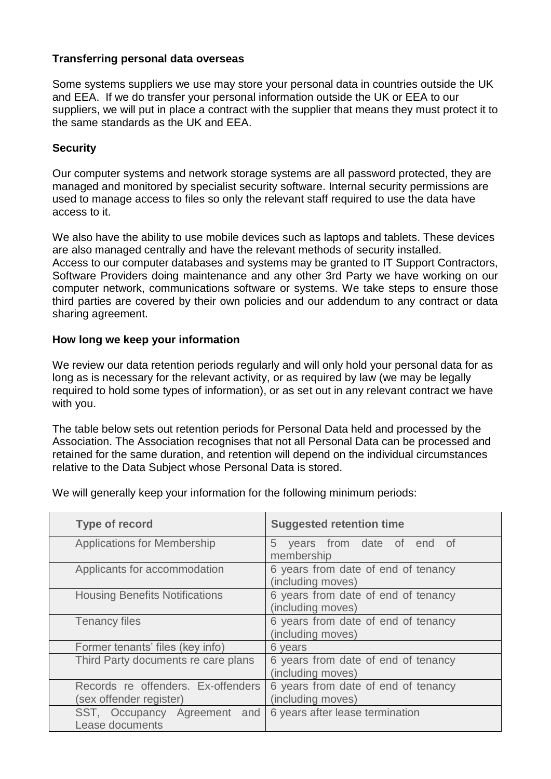## **Transferring personal data overseas**

Some systems suppliers we use may store your personal data in countries outside the UK and EEA. If we do transfer your personal information outside the UK or EEA to our suppliers, we will put in place a contract with the supplier that means they must protect it to the same standards as the UK and EEA.

## **Security**

Our computer systems and network storage systems are all password protected, they are managed and monitored by specialist security software. Internal security permissions are used to manage access to files so only the relevant staff required to use the data have access to it.

We also have the ability to use mobile devices such as laptops and tablets. These devices are also managed centrally and have the relevant methods of security installed. Access to our computer databases and systems may be granted to IT Support Contractors, Software Providers doing maintenance and any other 3rd Party we have working on our computer network, communications software or systems. We take steps to ensure those third parties are covered by their own policies and our addendum to any contract or data sharing agreement.

## **How long we keep your information**

We review our data retention periods regularly and will only hold your personal data for as long as is necessary for the relevant activity, or as required by law (we may be legally required to hold some types of information), or as set out in any relevant contract we have with you.

The table below sets out retention periods for Personal Data held and processed by the Association. The Association recognises that not all Personal Data can be processed and retained for the same duration, and retention will depend on the individual circumstances relative to the Data Subject whose Personal Data is stored.

We will generally keep your information for the following minimum periods:

| <b>Type of record</b>                                         | <b>Suggested retention time</b>                          |
|---------------------------------------------------------------|----------------------------------------------------------|
| <b>Applications for Membership</b>                            | 5 years from date of end of<br>membership                |
| Applicants for accommodation                                  | 6 years from date of end of tenancy<br>(including moves) |
| <b>Housing Benefits Notifications</b>                         | 6 years from date of end of tenancy<br>(including moves) |
| <b>Tenancy files</b>                                          | 6 years from date of end of tenancy<br>(including moves) |
| Former tenants' files (key info)                              | 6 years                                                  |
| Third Party documents re care plans                           | 6 years from date of end of tenancy<br>(including moves) |
| Records re offenders. Ex-offenders<br>(sex offender register) | 6 years from date of end of tenancy<br>(including moves) |
| SST, Occupancy Agreement and<br>Lease documents               | 6 years after lease termination                          |